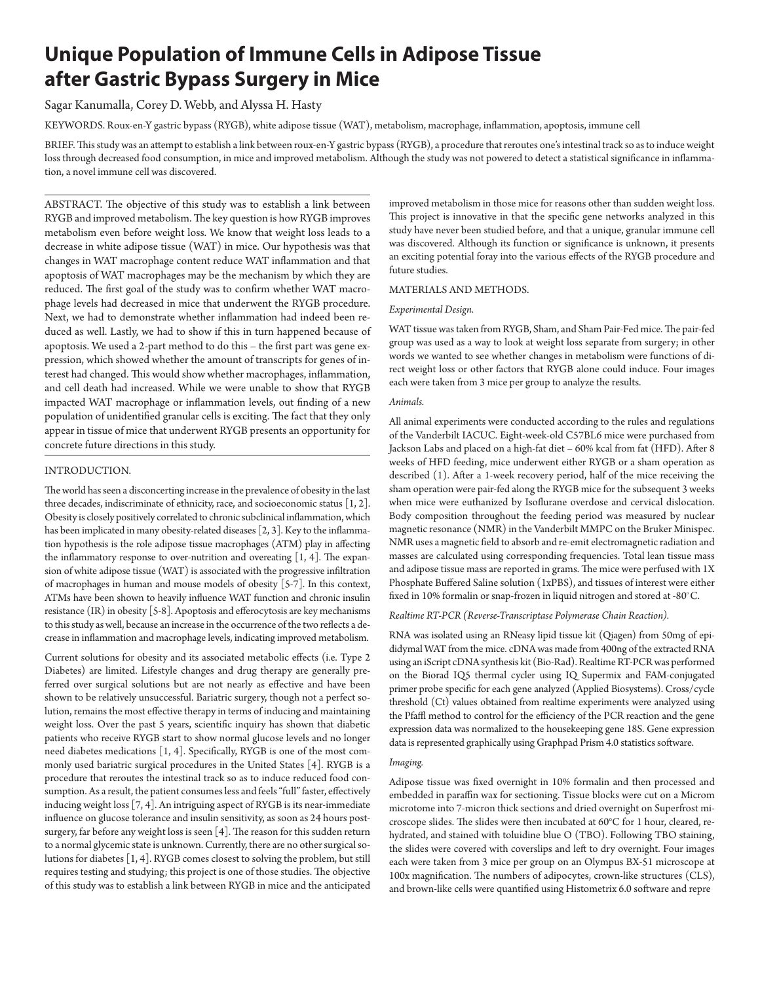# **Unique Population of Immune Cells in Adipose Tissue after Gastric Bypass Surgery in Mice**

# Sagar Kanumalla, Corey D. Webb, and Alyssa H. Hasty

KEYWORDS. Roux-en-Y gastric bypass (RYGB), white adipose tissue (WAT), metabolism, macrophage, inflammation, apoptosis, immune cell

BRIEF. This study was an attempt to establish a link between roux-en-Y gastric bypass (RYGB), a procedure that reroutes one's intestinal track so as to induce weight loss through decreased food consumption, in mice and improved metabolism. Although the study was not powered to detect a statistical significance in inflammation, a novel immune cell was discovered.

ABSTRACT. The objective of this study was to establish a link between RYGB and improved metabolism. The key question is how RYGB improves metabolism even before weight loss. We know that weight loss leads to a decrease in white adipose tissue (WAT) in mice. Our hypothesis was that changes in WAT macrophage content reduce WAT inflammation and that apoptosis of WAT macrophages may be the mechanism by which they are reduced. The first goal of the study was to confirm whether WAT macrophage levels had decreased in mice that underwent the RYGB procedure. Next, we had to demonstrate whether inflammation had indeed been reduced as well. Lastly, we had to show if this in turn happened because of apoptosis. We used a 2-part method to do this – the first part was gene expression, which showed whether the amount of transcripts for genes of interest had changed. This would show whether macrophages, inflammation, and cell death had increased. While we were unable to show that RYGB impacted WAT macrophage or inflammation levels, out finding of a new population of unidentified granular cells is exciting. The fact that they only appear in tissue of mice that underwent RYGB presents an opportunity for concrete future directions in this study.

## INTRODUCTION.

The world has seen a disconcerting increase in the prevalence of obesity in the last three decades, indiscriminate of ethnicity, race, and socioeconomic status [1, 2]. Obesity is closely positively correlated to chronic subclinical inflammation, which has been implicated in many obesity-related diseases [2, 3]. Key to the inflammation hypothesis is the role adipose tissue macrophages (ATM) play in affecting the inflammatory response to over-nutrition and overeating  $[1, 4]$ . The expansion of white adipose tissue (WAT) is associated with the progressive infiltration of macrophages in human and mouse models of obesity [5-7]. In this context, ATMs have been shown to heavily influence WAT function and chronic insulin resistance (IR) in obesity [5-8]. Apoptosis and efferocytosis are key mechanisms to this study as well, because an increase in the occurrence of the two reflects a decrease in inflammation and macrophage levels, indicating improved metabolism.

Current solutions for obesity and its associated metabolic effects (i.e. Type 2 Diabetes) are limited. Lifestyle changes and drug therapy are generally preferred over surgical solutions but are not nearly as effective and have been shown to be relatively unsuccessful. Bariatric surgery, though not a perfect solution, remains the most effective therapy in terms of inducing and maintaining weight loss. Over the past 5 years, scientific inquiry has shown that diabetic patients who receive RYGB start to show normal glucose levels and no longer need diabetes medications [1, 4]. Specifically, RYGB is one of the most commonly used bariatric surgical procedures in the United States [4]. RYGB is a procedure that reroutes the intestinal track so as to induce reduced food consumption. As a result, the patient consumes less and feels "full" faster, effectively inducing weight loss [7, 4]. An intriguing aspect of RYGB is its near-immediate influence on glucose tolerance and insulin sensitivity, as soon as 24 hours postsurgery, far before any weight loss is seen [4]. The reason for this sudden return to a normal glycemic state is unknown. Currently, there are no other surgical solutions for diabetes [1, 4]. RYGB comes closest to solving the problem, but still requires testing and studying; this project is one of those studies. The objective of this study was to establish a link between RYGB in mice and the anticipated

improved metabolism in those mice for reasons other than sudden weight loss. This project is innovative in that the specific gene networks analyzed in this study have never been studied before, and that a unique, granular immune cell was discovered. Although its function or significance is unknown, it presents an exciting potential foray into the various effects of the RYGB procedure and future studies.

## MATERIALS AND METHODS.

# *Experimental Design.*

WAT tissue was taken from RYGB, Sham, and Sham Pair-Fed mice. The pair-fed group was used as a way to look at weight loss separate from surgery; in other words we wanted to see whether changes in metabolism were functions of direct weight loss or other factors that RYGB alone could induce. Four images each were taken from 3 mice per group to analyze the results.

#### *Animals.*

All animal experiments were conducted according to the rules and regulations of the Vanderbilt IACUC. Eight-week-old C57BL6 mice were purchased from Jackson Labs and placed on a high-fat diet – 60% kcal from fat (HFD). After 8 weeks of HFD feeding, mice underwent either RYGB or a sham operation as described (1). After a 1-week recovery period, half of the mice receiving the sham operation were pair-fed along the RYGB mice for the subsequent 3 weeks when mice were euthanized by Isoflurane overdose and cervical dislocation. Body composition throughout the feeding period was measured by nuclear magnetic resonance (NMR) in the Vanderbilt MMPC on the Bruker Minispec. NMR uses a magnetic field to absorb and re-emit electromagnetic radiation and masses are calculated using corresponding frequencies. Total lean tissue mass and adipose tissue mass are reported in grams. The mice were perfused with 1X Phosphate Buffered Saline solution (1xPBS), and tissues of interest were either fixed in 10% formalin or snap-frozen in liquid nitrogen and stored at -80º C.

#### *Realtime RT-PCR (Reverse-Transcriptase Polymerase Chain Reaction).*

RNA was isolated using an RNeasy lipid tissue kit (Qiagen) from 50mg of epididymal WAT from the mice. cDNA was made from 400ng of the extracted RNA using an iScript cDNA synthesis kit (Bio-Rad). Realtime RT-PCR was performed on the Biorad IQ5 thermal cycler using IQ Supermix and FAM-conjugated primer probe specific for each gene analyzed (Applied Biosystems). Cross/cycle threshold (Ct) values obtained from realtime experiments were analyzed using the Pfaffl method to control for the efficiency of the PCR reaction and the gene expression data was normalized to the housekeeping gene 18S. Gene expression data is represented graphically using Graphpad Prism 4.0 statistics software.

#### *Imaging.*

Adipose tissue was fixed overnight in 10% formalin and then processed and embedded in paraffin wax for sectioning. Tissue blocks were cut on a Microm microtome into 7-micron thick sections and dried overnight on Superfrost microscope slides. The slides were then incubated at 60°C for 1 hour, cleared, rehydrated, and stained with toluidine blue O (TBO). Following TBO staining, the slides were covered with coverslips and left to dry overnight. Four images each were taken from 3 mice per group on an Olympus BX-51 microscope at 100x magnification. The numbers of adipocytes, crown-like structures (CLS), and brown-like cells were quantified using Histometrix 6.0 software and repre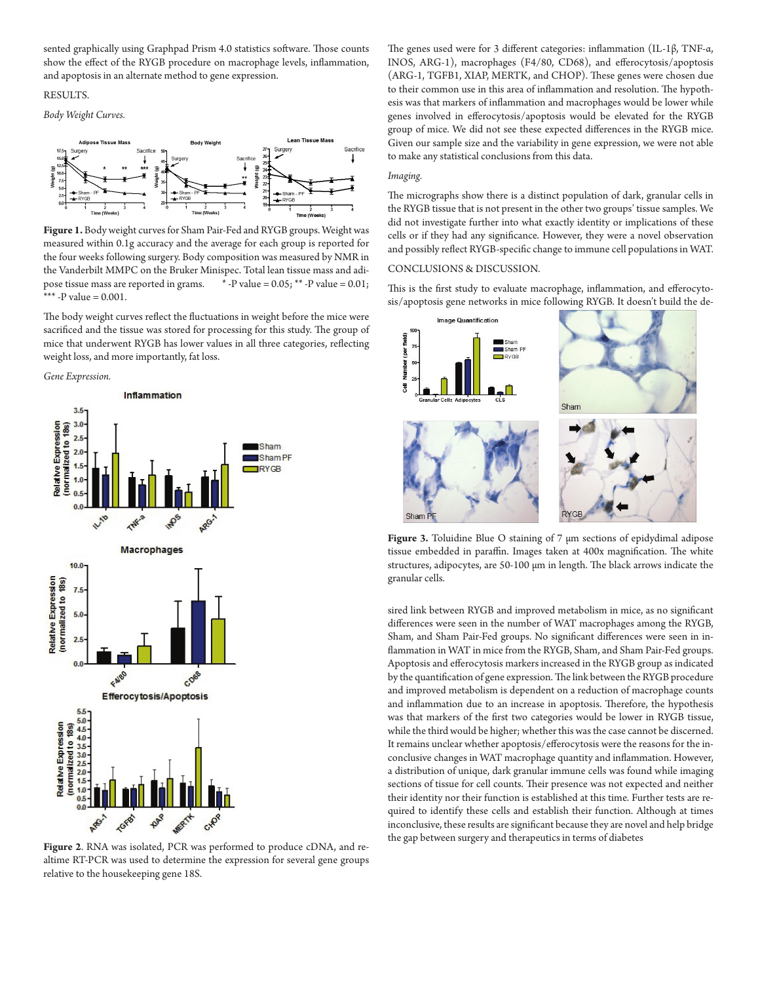sented graphically using Graphpad Prism 4.0 statistics software. Those counts show the effect of the RYGB procedure on macrophage levels, inflammation, and apoptosis in an alternate method to gene expression.

#### RESULTS.

*Body Weight Curves.*



**Figure 1.** Body weight curves for Sham Pair-Fed and RYGB groups. Weight was measured within 0.1g accuracy and the average for each group is reported for the four weeks following surgery. Body composition was measured by NMR in the Vanderbilt MMPC on the Bruker Minispec. Total lean tissue mass and adipose tissue mass are reported in grams.  $*$ -P value = 0.05;  $*$ -P value = 0.01; \*\*\* -P value =  $0.001$ .

The body weight curves reflect the fluctuations in weight before the mice were sacrificed and the tissue was stored for processing for this study. The group of mice that underwent RYGB has lower values in all three categories, reflecting weight loss, and more importantly, fat loss.





**Figure 2**. RNA was isolated, PCR was performed to produce cDNA, and realtime RT-PCR was used to determine the expression for several gene groups relative to the housekeeping gene 18S.

The genes used were for 3 different categories: inflammation (IL-1β, TNF-α, INOS, ARG-1), macrophages (F4/80, CD68), and efferocytosis/apoptosis (ARG-1, TGFB1, XIAP, MERTK, and CHOP). These genes were chosen due to their common use in this area of inflammation and resolution. The hypothesis was that markers of inflammation and macrophages would be lower while genes involved in efferocytosis/apoptosis would be elevated for the RYGB group of mice. We did not see these expected differences in the RYGB mice. Given our sample size and the variability in gene expression, we were not able to make any statistical conclusions from this data.

#### *Imaging.*

The micrographs show there is a distinct population of dark, granular cells in the RYGB tissue that is not present in the other two groups' tissue samples. We did not investigate further into what exactly identity or implications of these cells or if they had any significance. However, they were a novel observation and possibly reflect RYGB-specific change to immune cell populations in WAT.

## CONCLUSIONS & DISCUSSION.

This is the first study to evaluate macrophage, inflammation, and efferocytosis/apoptosis gene networks in mice following RYGB. It doesn't build the de-



**Figure 3.** Toluidine Blue O staining of 7 μm sections of epidydimal adipose tissue embedded in paraffin. Images taken at 400x magnification. The white structures, adipocytes, are 50-100 µm in length. The black arrows indicate the granular cells.

sired link between RYGB and improved metabolism in mice, as no significant differences were seen in the number of WAT macrophages among the RYGB, Sham, and Sham Pair-Fed groups. No significant differences were seen in inflammation in WAT in mice from the RYGB, Sham, and Sham Pair-Fed groups. Apoptosis and efferocytosis markers increased in the RYGB group as indicated by the quantification of gene expression. The link between the RYGB procedure and improved metabolism is dependent on a reduction of macrophage counts and inflammation due to an increase in apoptosis. Therefore, the hypothesis was that markers of the first two categories would be lower in RYGB tissue, while the third would be higher; whether this was the case cannot be discerned. It remains unclear whether apoptosis/efferocytosis were the reasons for the inconclusive changes in WAT macrophage quantity and inflammation. However, a distribution of unique, dark granular immune cells was found while imaging sections of tissue for cell counts. Their presence was not expected and neither their identity nor their function is established at this time. Further tests are required to identify these cells and establish their function. Although at times inconclusive, these results are significant because they are novel and help bridge the gap between surgery and therapeutics in terms of diabetes